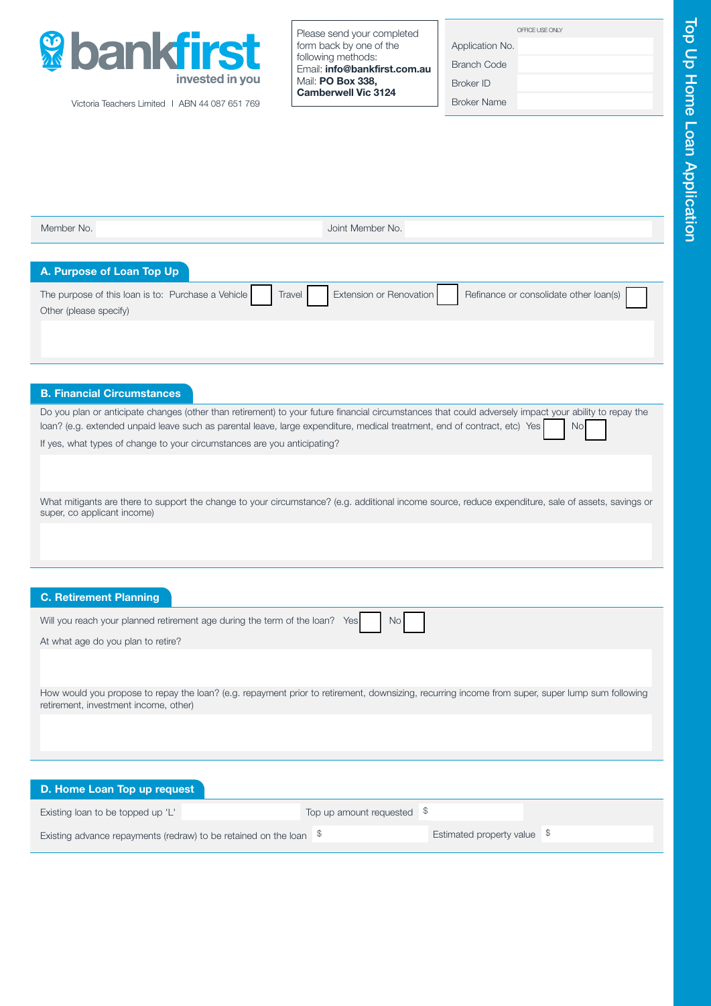

Victoria Teachers Limited I ABN 44 087 651 769

Please send your completed form back by one of the following methods: Email: info@bankfirst.com.au Mail: PO Box 338. Camberwell Vic 3124

Application No. Branch Code

Broker ID

Broker Name

 Member No. Joint Member No. B. Financial Circumstances Do you plan or anticipate changes (other than retirement) to your future financial circumstances that could adversely impact your ability to repay the loan? (e.g. extended unpaid leave such as parental leave, large expenditure, medical treatment, end of contract, etc) Yes If yes, what types of change to your circumstances are you anticipating? What mitigants are there to support the change to your circumstance? (e.g. additional income source, reduce expenditure, sale of assets, savings or super, co applicant income) C. Retirement Planning Will you reach your planned retirement age during the term of the loan? Yes No At what age do you plan to retire? How would you propose to repay the loan? (e.g. repayment prior to retirement, downsizing, recurring income from super, super lump sum following retirement, investment income, other) The purpose of this loan is to: Purchase a Vehicle Travel Extension or Renovation Refinance or consolidate other loan(s) Other (please specify) A. Purpose of Loan Top Up D. Home Loan Top up request Existing loan to be topped up 'L' Top up amount requested  $\delta$ Existing advance repayments (redraw) to be retained on the loan  $\frac{1}{3}$  Estimated property value  $\frac{1}{3}$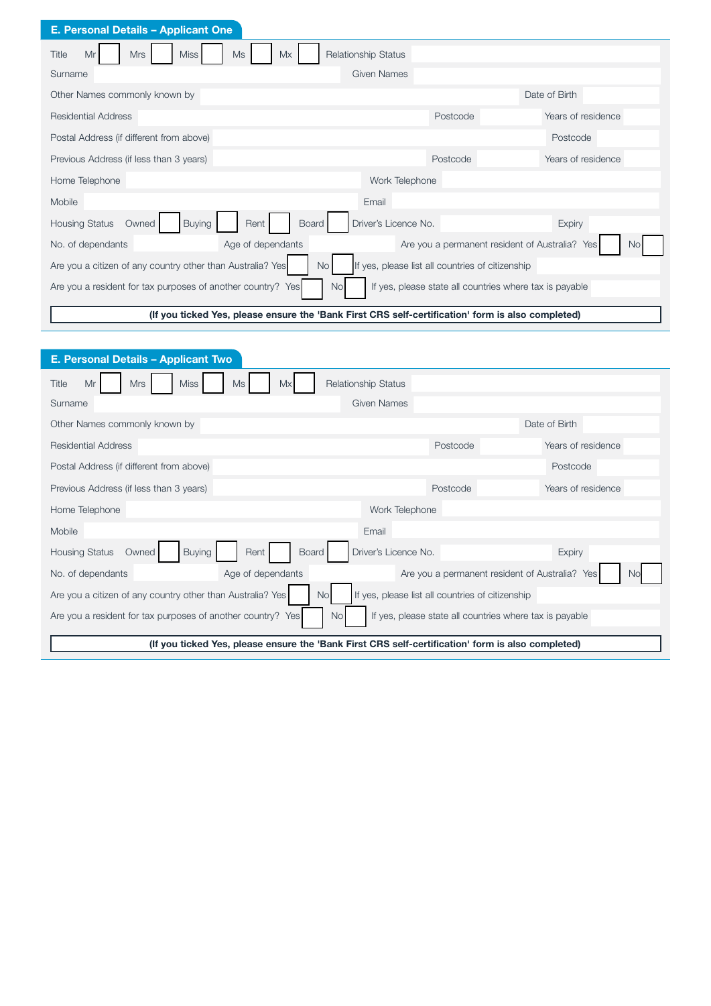| <b>E. Personal Details - Applicant One</b>                                                                                    |                            |                                                |                    |
|-------------------------------------------------------------------------------------------------------------------------------|----------------------------|------------------------------------------------|--------------------|
| Title<br>Mr<br><b>Mrs</b><br>Miss <sup>1</sup><br>Ms<br>Mx                                                                    | <b>Relationship Status</b> |                                                |                    |
| Surname                                                                                                                       | Given Names                |                                                |                    |
| Other Names commonly known by                                                                                                 |                            |                                                | Date of Birth      |
| Residential Address                                                                                                           |                            | Postcode                                       | Years of residence |
| Postal Address (if different from above)                                                                                      |                            |                                                | Postcode           |
| Previous Address (if less than 3 years)                                                                                       |                            | Postcode                                       | Years of residence |
| Home Telephone                                                                                                                | Work Telephone             |                                                |                    |
| Mobile                                                                                                                        | Email                      |                                                |                    |
| <b>Buying</b><br>Rent<br><b>Housing Status</b><br>Owned<br><b>Board</b>                                                       | Driver's Licence No.       |                                                | <b>Expiry</b>      |
| Age of dependants<br>No. of dependants                                                                                        |                            | Are you a permanent resident of Australia? Yes | No.                |
| Are you a citizen of any country other than Australia? Yes<br>No I<br>If yes, please list all countries of citizenship        |                            |                                                |                    |
| Are you a resident for tax purposes of another country? Yes<br>If yes, please state all countries where tax is payable<br>No. |                            |                                                |                    |
| (If you ticked Yes, please ensure the 'Bank First CRS self-certification' form is also completed)                             |                            |                                                |                    |

| E. Personal Details - Applicant Two                                                                                                 |                            |                                                |                    |
|-------------------------------------------------------------------------------------------------------------------------------------|----------------------------|------------------------------------------------|--------------------|
| Title<br>Mr<br><b>Mrs</b><br><b>Miss</b><br>Ms<br>Mx                                                                                | <b>Relationship Status</b> |                                                |                    |
| Surname                                                                                                                             | Given Names                |                                                |                    |
| Other Names commonly known by                                                                                                       |                            |                                                | Date of Birth      |
| <b>Residential Address</b>                                                                                                          |                            | Postcode                                       | Years of residence |
| Postal Address (if different from above)                                                                                            |                            |                                                | Postcode           |
| Previous Address (if less than 3 years)                                                                                             |                            | Postcode                                       | Years of residence |
| Home Telephone                                                                                                                      | Work Telephone             |                                                |                    |
| Mobile                                                                                                                              | Email                      |                                                |                    |
| <b>Buying</b><br>Rent I<br>Board<br><b>Housing Status</b><br>Owned                                                                  | Driver's Licence No.       |                                                | <b>Expiry</b>      |
| Age of dependants<br>No. of dependants                                                                                              |                            | Are you a permanent resident of Australia? Yes | No.                |
| Are you a citizen of any country other than Australia? Yes<br>If yes, please list all countries of citizenship<br>No                |                            |                                                |                    |
| Are you a resident for tax purposes of another country? Yes<br>If yes, please state all countries where tax is payable<br><b>No</b> |                            |                                                |                    |
| (If you ticked Yes, please ensure the 'Bank First CRS self-certification' form is also completed)                                   |                            |                                                |                    |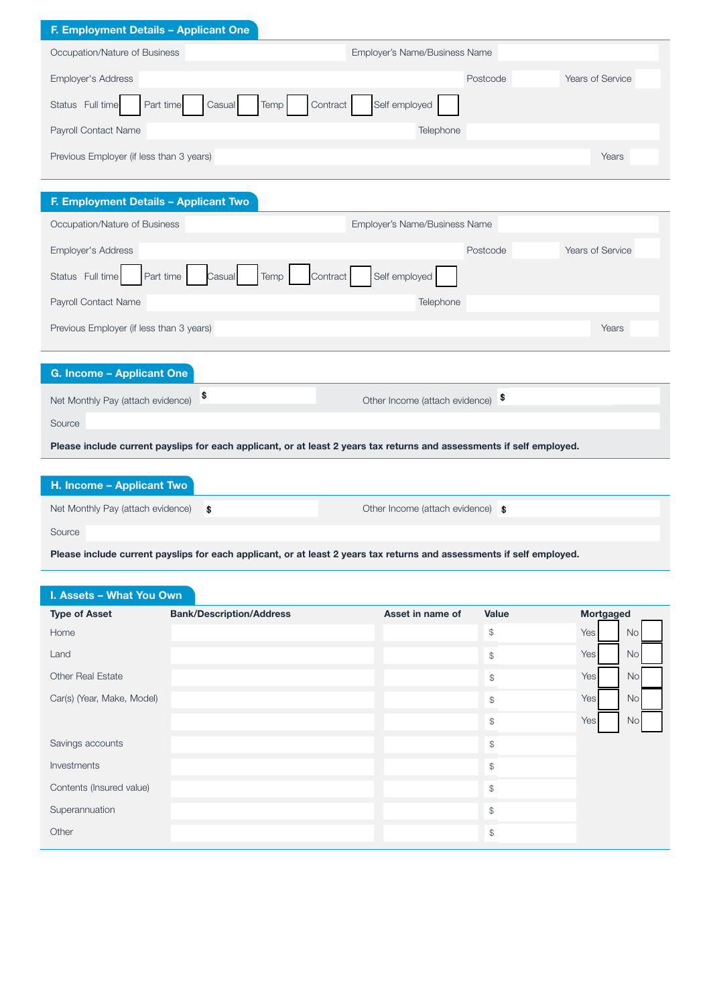# F. Employment Details – Applicant One

| $\blacksquare$ . Employment Details – Applicant One         |                               |                  |
|-------------------------------------------------------------|-------------------------------|------------------|
| Occupation/Nature of Business                               | Employer's Name/Business Name |                  |
| <b>Employer's Address</b>                                   | Postcode                      | Years of Service |
| Status Full time<br>Temp<br>Contract<br>Part time<br>Casual | Self employed                 |                  |
| Payroll Contact Name                                        | Telephone                     |                  |
| Previous Employer (if less than 3 years)                    |                               | Years            |
|                                                             |                               |                  |
|                                                             |                               |                  |
| F. Employment Details - Applicant Two                       |                               |                  |
| Occupation/Nature of Business                               | Employer's Name/Business Name |                  |
| Employer's Address                                          | Postcode                      | Years of Service |
| Part time<br>Status Full time<br>Temp<br>Casual<br>Contract | Self employed                 |                  |
| Payroll Contact Name                                        | Telephone                     |                  |
| Previous Employer (if less than 3 years)                    |                               | Years            |
|                                                             |                               |                  |
| <b>G. Income - Applicant One</b>                            |                               |                  |

| Net Monthly Pay (attach evidence) $\frac{\$}{}$                                                                       | Other Income (attach evidence) $\frac{1}{3}$ |  |
|-----------------------------------------------------------------------------------------------------------------------|----------------------------------------------|--|
| Source                                                                                                                |                                              |  |
| Please include current payslips for each applicant, or at least 2 years tax returns and assessments if self employed. |                                              |  |

| H. Income – Applicant Two            |                                   |
|--------------------------------------|-----------------------------------|
| Net Monthly Pay (attach evidence) \$ | Other Income (attach evidence) \$ |
| Source                               |                                   |

Please include current payslips for each applicant, or at least 2 years tax returns and assessments if self employed.

# I. Assets – What You Own

| <b>Type of Asset</b>       | <b>Bank/Description/Address</b> | Asset in name of | Value          | Mortgaged |           |
|----------------------------|---------------------------------|------------------|----------------|-----------|-----------|
| Home                       |                                 |                  | $$\mathbb{S}$$ | Yes       | No        |
| Land                       |                                 |                  | $$\mathbb{S}$$ | Yes       | <b>No</b> |
| <b>Other Real Estate</b>   |                                 |                  | $$\mathbb{S}$$ | Yes       | <b>No</b> |
| Car(s) (Year, Make, Model) |                                 |                  | $\mathbb{S}$   | Yes       | <b>No</b> |
|                            |                                 |                  | $$\mathbb{S}$$ | Yes       | <b>No</b> |
| Savings accounts           |                                 |                  | $$\mathbb{S}$$ |           |           |
| Investments                |                                 |                  | $$\mathbb{S}$$ |           |           |
| Contents (Insured value)   |                                 |                  | $$\mathbb{S}$$ |           |           |
| Superannuation             |                                 |                  | $$\mathbb{S}$$ |           |           |
| Other                      |                                 |                  | $\$\$          |           |           |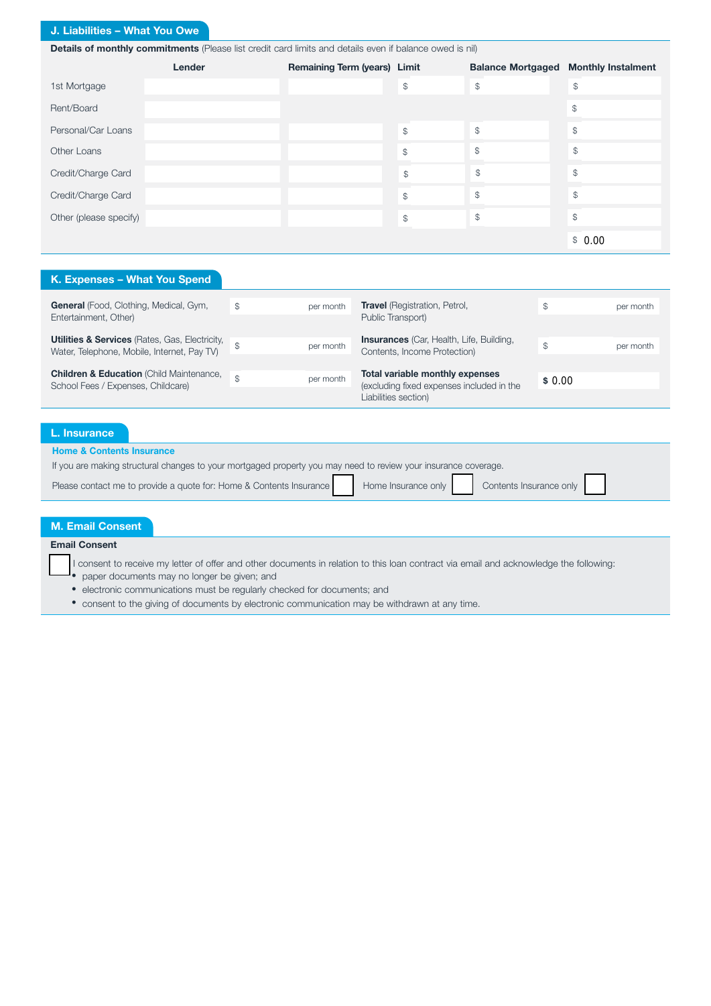# J. Liabilities – What You Owe

Details of monthly commitments (Please list credit card limits and details even if balance owed is nil)

|                        | Lender | Remaining Term (years) Limit |               | <b>Balance Mortgaged</b> | <b>Monthly Instalment</b> |
|------------------------|--------|------------------------------|---------------|--------------------------|---------------------------|
| 1st Mortgage           |        |                              | \$            | $\frac{1}{2}$            | \$                        |
| Rent/Board             |        |                              |               |                          | $\frac{1}{2}$             |
| Personal/Car Loans     |        |                              | \$            | $\$\$                    | $\$\$                     |
| Other Loans            |        |                              | \$            | $\mathcal{L}$            | \$                        |
| Credit/Charge Card     |        |                              | $\mathcal{S}$ | $\mathcal{S}$            | \$                        |
| Credit/Charge Card     |        |                              | $\mathcal{L}$ | $\mathcal{S}$            | \$                        |
| Other (please specify) |        |                              | \$            | $\$\$                    | $\frac{1}{2}$             |
|                        |        |                              |               |                          | \$0.00                    |

#### K. Expenses – What You Spend General (Food, Clothing, Medical, Gym, Entertainment, Other) **Utilities & Services** (Rates, Gas, Electricity, Water, Telephone, Mobile, Internet, Pay TV) **Children & Education** (Child Maintenance, School Fees / Expenses, Childcare) \$ **per month Travel** (Registration, Petrol,  $\frac{1}{2}$  and  $\frac{1}{2}$  per month \$ per month \$ 0.00\$ per month \$ per month Public Transport) **Insurances** (Car, Health, Life, Building, Contents, Income Protection) Total variable monthly expenses (excluding fixed expenses included in the Liabilities section)

# L. Insurance

Home & Contents Insurance

| <b>TRIP &amp; CONGITS MODERNIE</b>                                                                              |                                             |  |
|-----------------------------------------------------------------------------------------------------------------|---------------------------------------------|--|
| If you are making structural changes to your mortgaged property you may need to review your insurance coverage. |                                             |  |
| Please contact me to provide a quote for: Home & Contents Insurance                                             | Home Insurance only Contents Insurance only |  |

# M. Email Consent Email Consent I consent to receive my letter of offer and other documents in relation to this loan contract via email and acknowledge the following: • paper documents may no longer be given; and • electronic communications must be regularly checked for documents; and

• consent to the giving of documents by electronic communication may be withdrawn at any time.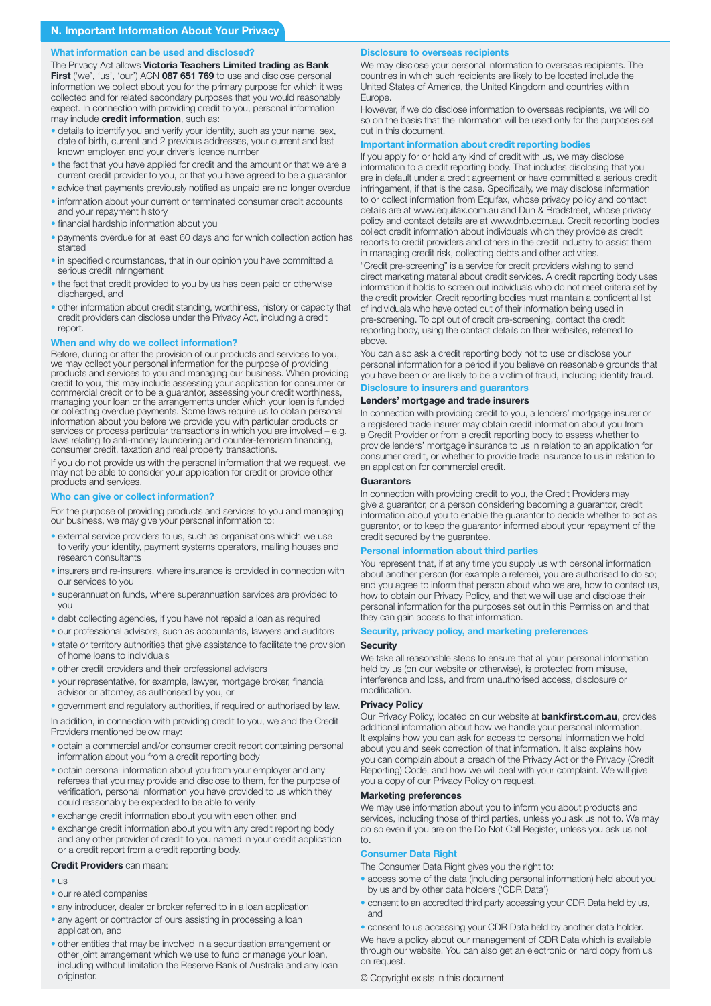#### What information can be used and disclosed?

The Privacy Act allows Victoria Teachers Limited trading as Bank First ('we', 'us', 'our') ACN 087 651 769 to use and disclose personal information we collect about you for the primary purpose for which it was collected and for related secondary purposes that you would reasonably expect. In connection with providing credit to you, personal information may include **credit information**, such as:

- details to identify you and verify your identity, such as your name, sex, date of birth, current and 2 previous addresses, your current and last known employer, and your driver's licence number
- the fact that you have applied for credit and the amount or that we are a current credit provider to you, or that you have agreed to be a guarantor
- advice that payments previously notified as unpaid are no longer overdue
- information about your current or terminated consumer credit accounts and your repayment history
- financial hardship information about you
- payments overdue for at least 60 days and for which collection action has started
- in specified circumstances, that in our opinion you have committed a serious credit infringement
- the fact that credit provided to you by us has been paid or otherwise discharged, and
- other information about credit standing, worthiness, history or capacity that credit providers can disclose under the Privacy Act, including a credit report.

### When and why do we collect information?

Before, during or after the provision of our products and services to you, we may collect your personal information for the purpose of providing products and services to you and managing our business. When providing credit to you, this may include assessing your application for consumer or commercial credit or to be a guarantor, assessing your credit worthiness, managing your loan or the arrangements under which your loan is funded or collecting overdue payments. Some laws require us to obtain personal information about you before we provide you with particular products or services or process particular transactions in which you are involved – e.g. laws relating to anti-money laundering and counter-terrorism financing, consumer credit, taxation and real property transactions.

If you do not provide us with the personal information that we request, we may not be able to consider your application for credit or provide other products and services.

#### Who can give or collect information?

For the purpose of providing products and services to you and managing our business, we may give your personal information to:

- external service providers to us, such as organisations which we use to verify your identity, payment systems operators, mailing houses and research consultants
- insurers and re-insurers, where insurance is provided in connection with our services to you
- superannuation funds, where superannuation services are provided to you
- debt collecting agencies, if you have not repaid a loan as required
- our professional advisors, such as accountants, lawyers and auditors
- state or territory authorities that give assistance to facilitate the provision of home loans to individuals
- other credit providers and their professional advisors
- your representative, for example, lawyer, mortgage broker, financial advisor or attorney, as authorised by you, or
- government and regulatory authorities, if required or authorised by law.

In addition, in connection with providing credit to you, we and the Credit Providers mentioned below may:

- obtain a commercial and/or consumer credit report containing personal information about you from a credit reporting body
- obtain personal information about you from your employer and any referees that you may provide and disclose to them, for the purpose of verification, personal information you have provided to us which they could reasonably be expected to be able to verify
- exchange credit information about you with each other, and
- exchange credit information about you with any credit reporting body and any other provider of credit to you named in your credit application or a credit report from a credit reporting body.

#### Credit Providers can mean:

- us
- our related companies
- any introducer, dealer or broker referred to in a loan application
- any agent or contractor of ours assisting in processing a loan application, and
- other entities that may be involved in a securitisation arrangement or other joint arrangement which we use to fund or manage your loan, including without limitation the Reserve Bank of Australia and any loan originator.

#### Disclosure to overseas recipients

We may disclose your personal information to overseas recipients. The countries in which such recipients are likely to be located include the United States of America, the United Kingdom and countries within Europe.

However, if we do disclose information to overseas recipients, we will do so on the basis that the information will be used only for the purposes set out in this document.

#### Important information about credit reporting bodies

If you apply for or hold any kind of credit with us, we may disclose information to a credit reporting body. That includes disclosing that you are in default under a credit agreement or have committed a serious credit infringement, if that is the case. Specifically, we may disclose information to or collect information from Equifax, whose privacy policy and contact details are at www.equifax.com.au and Dun & Bradstreet, whose privacy policy and contact details are at www.dnb.com.au. Credit reporting bodies collect credit information about individuals which they provide as credit reports to credit providers and others in the credit industry to assist them in managing credit risk, collecting debts and other activities.

"Credit pre-screening" is a service for credit providers wishing to send direct marketing material about credit services. A credit reporting body uses information it holds to screen out individuals who do not meet criteria set by the credit provider. Credit reporting bodies must maintain a confidential list of individuals who have opted out of their information being used in pre-screening. To opt out of credit pre-screening, contact the credit reporting body, using the contact details on their websites, referred to above.

You can also ask a credit reporting body not to use or disclose your personal information for a period if you believe on reasonable grounds that you have been or are likely to be a victim of fraud, including identity fraud.

# Disclosure to insurers and guarantors Lenders' mortgage and trade insurers

In connection with providing credit to you, a lenders' mortgage insurer or a registered trade insurer may obtain credit information about you from a Credit Provider or from a credit reporting body to assess whether to provide lenders' mortgage insurance to us in relation to an application for consumer credit, or whether to provide trade insurance to us in relation to an application for commercial credit.

#### **Guarantors**

In connection with providing credit to you, the Credit Providers may give a guarantor, or a person considering becoming a guarantor, credit information about you to enable the guarantor to decide whether to act as guarantor, or to keep the guarantor informed about your repayment of the credit secured by the guarantee.

### Personal information about third parties

You represent that, if at any time you supply us with personal information about another person (for example a referee), you are authorised to do so; and you agree to inform that person about who we are, how to contact us, how to obtain our Privacy Policy, and that we will use and disclose their personal information for the purposes set out in this Permission and that they can gain access to that information.

# Security, privacy policy, and marketing preferences

#### **Security**

We take all reasonable steps to ensure that all your personal information held by us (on our website or otherwise), is protected from misuse, interference and loss, and from unauthorised access, disclosure or modification.

#### Privacy Policy

Our Privacy Policy, located on our website at **bankfirst.com.au**, provides additional information about how we handle your personal information. It explains how you can ask for access to personal information we hold about you and seek correction of that information. It also explains how you can complain about a breach of the Privacy Act or the Privacy (Credit Reporting) Code, and how we will deal with your complaint. We will give you a copy of our Privacy Policy on request.

#### Marketing preferences

We may use information about you to inform you about products and services, including those of third parties, unless you ask us not to. We may do so even if you are on the Do Not Call Register, unless you ask us not to.

#### Consumer Data Right

The Consumer Data Right gives you the right to:

- access some of the data (including personal information) held about you by us and by other data holders ('CDR Data')
- consent to an accredited third party accessing your CDR Data held by us, and
- consent to us accessing your CDR Data held by another data holder.

We have a policy about our management of CDR Data which is available through our website. You can also get an electronic or hard copy from us on request.

© Copyright exists in this document